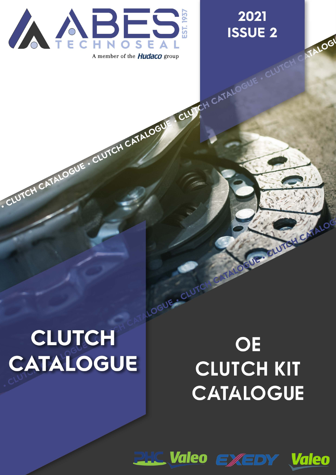

CLUTCH CATALOGUE . CLUTCH CATALOGUE CLUTCH CATALOG

### 2021 **ISSUE 2**



ELUTELY CHALO

# **CLUTCH CATALOGUE**

## OE **CLUTCH KIT CATALOGUE**

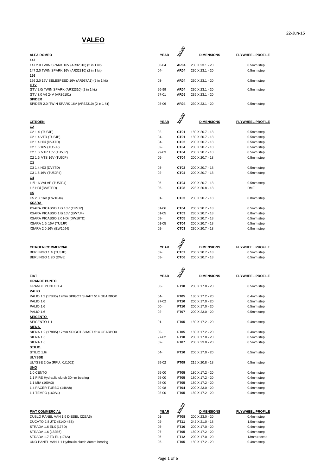#### **VALEO**

|                                                   |             | <b>AMEG</b>      |                   |                         |
|---------------------------------------------------|-------------|------------------|-------------------|-------------------------|
| <b>ALFA ROMEO</b><br>147                          | YEAR        |                  | <b>DIMENSIONS</b> | <b>FLYWHEEL PROFILE</b> |
| 147 2.0 TWIN SPARK 16V (AR32310) (2 in 1 kit)     | 00-04       | <b>AR04</b>      | 230 X 23.1 - 20   | 0.5mm step              |
| 147 2.0 TWIN SPARK 16V (AR32310) (2 in 1 kit)     | 04-         | <b>AR04</b>      | 230 X 23.1 - 20   | 0.5mm step              |
| <u> 156</u>                                       |             |                  |                   |                         |
| 156 2.0 16V SELESPEED 16V (AR937A1) (2 in 1 kit)  | 03-         | <b>AR04</b>      | 230 X 23.1 - 20   | 0.5mm step              |
| <u>GTV</u>                                        |             |                  |                   |                         |
| GTV 2.0i TWIN SPARK (AR32310) (2 in 1 kit)        | 96-99       | <b>AR04</b>      | 230 X 23.1 - 20   | 0.5mm step              |
| GTV 3.0 V6 24V (AR36101)<br><b>SPIDER</b>         | 97-01       | <b>AR05</b>      | 235 X 23.1 - 20   |                         |
| SPIDER 2.0i TWIN SPARK 16V (AR32310) (2 in 1 kit) | 03-06       | AR04             | 230 X 23.1 - 20   | 0.5mm step              |
|                                                   |             |                  |                   |                         |
|                                                   |             | ¥                |                   |                         |
|                                                   |             | Š                |                   |                         |
| <b>CITROEN</b>                                    | <b>YEAR</b> |                  | <b>DIMENSIONS</b> | <b>FLYWHEEL PROFILE</b> |
| <u>C2</u><br>C2 1.4i (TU3JP)                      | $02 -$      | CT01             | 180 X 20.7 - 18   | 0.5mm step              |
| C2 1.4 VTR (TU3JP)                                | 04-         | CT01             | 180 X 20.7 - 18   | 0.5mm step              |
| C <sub>2</sub> 1.4 HD <sub>i</sub> (DV4TD)        | $04 -$      | CT <sub>02</sub> | 200 X 20.7 - 18   | 0.5mm step              |
| C2 1.6 16V (TU5JP)                                | $02 -$      | CT <sub>04</sub> | 200 X 20.7 - 18   | 0.5mm step              |
| C2 1.6i VTR 16V (TU5JP)                           | 99-03       | CT <sub>04</sub> | 200 X 20.7 - 18   | 0.5mm step              |
| C2 1.6i VTS 16V (TU5JP)                           | 05-         | CT <sub>04</sub> | 200 X 20.7 - 18   | 0.5mm step              |
| <u>С3</u>                                         |             |                  |                   |                         |
| C3 1.4 HDi (DV4TD)                                | 03-         | CT <sub>02</sub> | 200 X 20.7 - 18   | 0.5mm step              |
| C3 1.6 16V (TU5JP4)                               | $02 -$      | CT <sub>04</sub> | 200 X 20.7 - 18   | 0.5mm step              |
| <u>C4</u>                                         |             |                  |                   |                         |
| 1.6i 16 VALVE (TU5JP4)                            | $05 -$      | CT <sub>04</sub> | 200 X 20.7 - 18   | 0.5mm step              |
| 1.6 HDi (DV6TED)                                  | 05-         | CT <sub>08</sub> | 228 X 20.8 - 18   | <b>DMF</b>              |
| <u>C5</u>                                         |             |                  |                   |                         |
| C5 2.0i 16V (EW10J4)                              | $01 -$      | CT <sub>03</sub> | 230 X 20.7 - 18   | 0.8mm step              |
| <u>XSARA</u>                                      |             |                  |                   |                         |
| XSARA PICASSO 1.6i 16V (TU5JP)                    | $01 - 06$   | CT <sub>04</sub> | 200 X 20.7 - 18   | 0.5mm step              |
| XSARA PICASSO 1.8i 16V (EW7J4)                    | $01 - 05$   | CT <sub>03</sub> | 230 X 20.7 - 18   | 0.8mm step              |
| XSARA PICASSO 2.0 HDi (DW10TD)                    | 03-         | CT <sub>05</sub> | 230 X 20.7 - 18   | 0.5mm step              |
| XSARA 1.6i 16V (TU5JP)                            | $01 - 05$   | CT04             | 200 X 20.7 - 18   | 0.5mm step              |
| XSARA 2.0 16V (EW10J4)                            | $02 -$      | CT <sub>03</sub> | 230 X 20.7 - 18   | 0.8mm step              |
|                                                   |             |                  |                   |                         |
|                                                   |             | ₩                |                   |                         |
| <b>CITROEN COMMERCIAL</b>                         | <b>YEAR</b> | Š                | <b>DIMENSIONS</b> | <b>FLYWHEEL PROFILE</b> |
| BERLINGO 1.4i (TU3JP)                             | $02 -$      | CT07             | 200 X 20.7 - 18   | 0.5mm step              |
| BERLINGO 1.9D (DW8)                               | 03-         | CT <sub>06</sub> | 200 X 20.7 - 18   | 0.5mm step              |
|                                                   |             |                  |                   |                         |
|                                                   |             |                  |                   |                         |
|                                                   |             |                  |                   |                         |
| <b>FIAT</b>                                       | <b>YEAR</b> |                  | <b>DIMENSIONS</b> | <b>FLYWHEEL PROFILE</b> |
| <b>GRANDE PUNTO</b>                               |             |                  |                   |                         |
| <b>GRANDE PUNTO 1.4</b>                           | 06-         | <b>FT10</b>      | 200 X 17.0 - 20   | 0.5mm step              |
| <u>PALIO</u>                                      |             |                  |                   |                         |
| PALIO 1.2 (178B5) 17mm SPIGOT SHAFT 514 GEARBOX   | 04-         | FT <sub>05</sub> | 180 X 17.2 - 20   | 0.4mm step              |
| PALIO 1.6                                         | 97-02       | FT10             | 200 X 17.0 - 20   | 0.5mm step              |
| PALIO 1.6                                         | $00-$       | FT10             | 200 X 17.0 - 20   | 0.5mm step              |
| PALIO 1.6                                         | 02-         | FT07             | 200 X 23.0 - 20   | 0.5mm step              |
| <b>SEICENTO</b><br>SEICENTO 1.1                   | $01 -$      | FT <sub>05</sub> |                   | 0.4mm step              |
| <b>SIENA</b>                                      |             |                  | 180 X 17.2 - 20   |                         |
| SIENA 1.2 (178B5) 17mm SPIGOT SHAFT 514 GEARBOX   | 00-         | FT05             | 180 X 17.2 - 20   | 0.4mm step              |
| SIENA 1.6                                         | 97-02       | FT10             | 200 X 17.0 - 20   | 0.5mm step              |
| SIENA 1.6                                         | 02-         | FT07             | 200 X 23.0 - 20   | 0.5mm step              |
| <u>STILIO</u>                                     |             |                  |                   |                         |
| STILIO 1.6i                                       | 04-         | FT10             | 200 X 17.0 - 20   | 0.5mm step              |
| <b>ULYSSE</b>                                     |             |                  |                   |                         |
| ULYSSE 2.0ie (RFU, XU10J2)                        | 99-02       | FT09             | 215 X 20.8 - 18   | 0.5mm step              |
| <u>UNO</u>                                        |             |                  |                   |                         |
| 1.0 CENTO                                         | 95-00       | FT05             | 180 X 17.2 - 20   | 0.4mm step              |
| 1.1 FIRE Hydraulic clutch 30mm bearing            | 95-00       | FT05             | 180 X 17.2 - 20   | 0.4mm step              |
| 1.1 MIA (160A3)                                   | 98-00       | FT05             | 180 X 17.2 - 20   | 0.4mm step              |
| 1.4 PACER TURBO (146A8)                           | 90-98       | FT04             | 200 X 23.0 - 20   | 0.4mm step              |
| 1.1 TEMPO (160A1)                                 | 98-00       | FT05             | 180 X 17.2 - 20   | 0.4mm step              |
|                                                   |             |                  |                   |                         |
|                                                   |             | <b>ANGO</b>      |                   |                         |
| <b>FIAT COMMERCIAL</b>                            | <b>YEAR</b> |                  | <b>DIMENSIONS</b> | <b>FLYWHEEL PROFILE</b> |
| DUBLO PANEL VAN 1.9 DIESEL (223A6)                | $01 -$      | FT08             | 200 X 23.0 - 20   | 0.4mm step              |
| DUCATO 2.8 JTD (8140-43S)                         | $02 -$      | FT11             | 242 X 21.0 - 18   | 1.0mm step              |

STRADA 1.6 ELX (178D) 05- **FT10** 200 X 17.0 - 20 0.4mm step STRADA 1.6 (182B6) 07- **FT05** 180 X 17.2 - 20 0.4mm step STRADA 1.7 TD EL (176A) **05- FT12** 200 X 17.0 - 20 13mm recess UNO PANEL VAN 1.1 Hydraulic clutch 30mm bearing 95- **FT05** 180 X 17.2 - 20 0.4mm step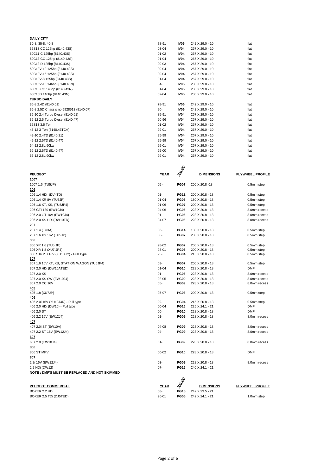| <b>DAILY CITY</b>                      |           |                  |                 |      |
|----------------------------------------|-----------|------------------|-----------------|------|
| 30-8, 35-8, 40-8                       | 78-91     | IV <sub>06</sub> | 242 X 29.0 - 10 | flat |
| 35S13 CC 125hp (8140.43S)              | 03-04     | <b>IV04</b>      | 267 X 29.0 - 10 | flat |
| 50C11 C 125hp (8140.43S)               | $01 - 02$ | <b>IV04</b>      | 267 X 29.0 - 10 | flat |
| 50C13 CC 125hp (8140.43S)              | $01 - 04$ | <b>IV04</b>      | 267 X 29.0 - 10 | flat |
| 50C13 D 125hp (8140.43S)               | $00 - 03$ | <b>IV04</b>      | 267 X 29.0 - 10 | flat |
| 50C13V-12 125hp (8140.43S)             | $00 - 04$ | <b>IV04</b>      | 267 X 29.0 - 10 | flat |
| 50C13V-15 125hp (8140.43S)             | $00 - 04$ | <b>IV04</b>      | 267 X 29.0 - 10 | flat |
| 50C13V-8 125hp (8140.43S)              | $01 - 04$ | <b>IV04</b>      | 267 X 29.0 - 10 | flat |
| 50C15V-15 146hp (8140.43N)             | $04 -$    | <b>IV05</b>      | 280 X 29.0 - 10 | flat |
| 65C15 CC 146hp (8140.43N)              | $01 - 04$ | <b>IV05</b>      | 280 X 29.0 - 10 | flat |
| 65C15D 146hp (8140.43N)                | $02 - 04$ | <b>IV05</b>      | 280 X 29.0 - 10 | flat |
| <b>TURBO DAILY</b>                     |           |                  |                 |      |
| 35-8 2.4D (8140.61)                    | 78-91     | IV <sub>06</sub> | 242 X 29.0 - 10 | flat |
| 35-8 2.5D Chassis no 5928513 (8140.07) | $90-$     | IV <sub>06</sub> | 242 X 29.0 - 10 | flat |
| 35-10 2.4 Turbo Diesel (8140.61)       | 85-91     | <b>IV04</b>      | 267 X 29.0 - 10 | flat |
| 35-12 2.5 Turbo Diesel (8140.47)       | 90-96     | <b>IV04</b>      | 267 X 29.0 - 10 | flat |
| 35S13 3.5 Ton                          | $01 - 02$ | <b>IV04</b>      | 267 X 29.0 - 10 | flat |
| 45-12 3 Ton (8140.43TCA)               | 99-01     | <b>IV04</b>      | 267 X 29.0 - 10 | flat |
| 49-10 2.4TD (8140.21)                  | 95-99     | <b>IV04</b>      | 267 X 29.0 - 10 | flat |
| 49-12 2.5TD (8140.47)                  | 95-99     | <b>IV04</b>      | 267 X 29.0 - 10 | flat |
| 54-12 2.8L 90kw                        | 99-01     | <b>IV04</b>      | 267 X 29.0 - 10 | flat |
| 59-12 2.5TD (8140.47)                  | 95-00     | <b>IV04</b>      | 267 X 29.0 - 10 | flat |
| 66-12 2.8L 90kw                        | 99-01     | <b>IV04</b>      | 267 X 29.0 - 10 | flat |
|                                        |           |                  |                 |      |

| <b>PEUGEOT</b>                                                       | <b>YEAR</b> | <b>RARD</b>        | <b>DIMENSIONS</b>                  | <u>FLYWHEEL PROFILE</u>  |
|----------------------------------------------------------------------|-------------|--------------------|------------------------------------|--------------------------|
| 1007                                                                 |             |                    |                                    |                          |
| 1007 1.6 (TU5JP)                                                     | $05 -$      | <b>PG07</b>        | 200 X 20.8 -18                     | 0.5mm step               |
| 206                                                                  |             |                    |                                    |                          |
| 206 1.4 HDi (DV4TD)                                                  | $01 -$      | <b>PG11</b>        | 200 X 20.8 - 18                    | 0.5mm step               |
| 206 1.4 XR 8V (TU3JP)                                                | $01 - 04$   | <b>PG08</b>        | 180 X 20.8 - 18                    | 0.5mm step               |
| 206 1.6 XT, XS, (TU5JP4)                                             | 01-06       | <b>PG07</b>        | 200 X 20.8 - 18                    | 0.5mm step               |
| 206 GTI 180 (EW10J4)                                                 | 04-06       | <b>PG06</b>        | 228 X 20.8 - 18                    | 8.0mm recess             |
| 206 2.0 GT 16V (EW10J4)                                              | $01 -$      | <b>PG06</b>        | 228 X 20.8 - 18                    | 8.0mm recess             |
| 206 2.0 XS HDi (DW10TD)                                              | 04-07       | <b>PG06</b>        | 228 X 20.8 - 18                    | 8.0mm recess             |
| 207                                                                  |             |                    |                                    |                          |
| 207 1.4 (TU3A)                                                       | 06-         | <b>PG14</b>        | 180 X 20.8 - 18                    | 0.5mm step               |
| 207 1.6 XS 16V (TU5JP)                                               | 06-         | <b>PG07</b>        | 200 X 20.8 - 18                    | 0.5mm step               |
| 306                                                                  |             |                    |                                    |                          |
| 306 XR 1.6 (TU5.JP)                                                  | 98-02       | <b>PG02</b>        | 200 X 20.8 - 18                    | 0.5mm step               |
| 306 XR 1.8 (XU7.JP4)                                                 | 98-01       | <b>PG03</b>        | 200 X 20.8 - 18                    | 0.5mm step               |
| 306 S16 2.0 16V (XU10.J2) - Pull Type                                | 95-         | <b>PG04</b>        | 215 X 20.8 - 18                    | 0.5mm step               |
| 307                                                                  |             |                    |                                    |                          |
| 307 1.6 16V XT, XS, STATION WAGON (TU5JP4)                           | 03-         | <b>PG07</b>        | 200 X 20.8 - 18                    | 0.5mm step               |
| 307 2.0 HDi (DW10ATED)                                               | $01 - 04$   | <b>PG10</b>        | 228 X 20.8 - 18                    | <b>DMF</b>               |
| 307 2.0 XS                                                           | $01 -$      | <b>PG06</b>        | 228 X 20.8 - 18                    | 8.0mm recess             |
| 307 2.0 XS SW (EW10J4)                                               | $02 - 05$   | <b>PG09</b>        | 228 X 20.8 - 18                    | 8.0mm recess             |
| 307 2.0 CC 16V                                                       | $05 -$      | <b>PG09</b>        | 228 X 20.8 - 18                    | 8.0mm recess             |
| 405                                                                  |             |                    |                                    |                          |
| 405 1.8 (XU7JP)                                                      | 95-97       | <b>PG03</b>        | $200 \times 20.8 - 18$             | 0.5mm step               |
| 406                                                                  | 99-         | <b>PG04</b>        |                                    |                          |
| 406 2.0i 16V (XU10J4R) - Pull type<br>406 2.0 HDi (DW10) - Pull type | $00 - 04$   | <b>PG16</b>        | 215 X 20.8 - 18<br>225 X 24.1 - 21 | 0.5mm step<br><b>DMF</b> |
| 406 2.0 ST                                                           | $00 -$      | <b>PG10</b>        | 228 X 20.8 - 18                    | <b>DMF</b>               |
| 406 2.2 16V (EW12J4)                                                 | $01 -$      | <b>PG09</b>        | 228 X 20.8 - 18                    | 8.0mm recess             |
| 407                                                                  |             |                    |                                    |                          |
| 407 2.0i ST (EW10A)                                                  | 04-08       | <b>PG09</b>        | 228 X 20.8 - 18                    | 8.0mm recess             |
| 407 2.2 ST 16V (EW12J4)                                              | $04 -$      | <b>PG09</b>        | 228 X 20.8 - 18                    | 8.0mm recess             |
| 607                                                                  |             |                    |                                    |                          |
| 607 2.0 (EW10J4)                                                     | $01 -$      | <b>PG09</b>        | 228 X 20.8 - 18                    | 8.0mm recess             |
| 806                                                                  |             |                    |                                    |                          |
| 806 ST MPV                                                           | $00 - 02$   | <b>PG10</b>        | 228 X 20.8 - 18                    | <b>DMF</b>               |
|                                                                      |             |                    |                                    |                          |
| 807                                                                  | 03-         | <b>PG09</b>        | 228 X 20.8 - 18                    | 8.0mm recess             |
| 2.2i 16V (EW12J4)                                                    | $07 -$      | <b>PG15</b>        |                                    |                          |
| 2.2 HDi (DW12)                                                       |             |                    | 240 X 24.1 - 21                    |                          |
| NOTE: DMF'S MUST BE REPLACED AND NOT SKIMMED                         |             |                    |                                    |                          |
|                                                                      |             | Ŷ                  |                                    |                          |
| <b>PEUGEOT COMMERCIAL</b>                                            | <b>YEAR</b> | $\vec{\mathbb{Y}}$ | <b>DIMENSIONS</b>                  | <b>FLYWHEEL PROFILE</b>  |
| BOXER 2.2 HDI                                                        | 08-         | <b>PG15</b>        | 242 X 23.5 - 21                    |                          |

BOXER 2.5 TDi (DJ5TED) **96-01 PG05** 242 X 24.1 - 21 1.0mm step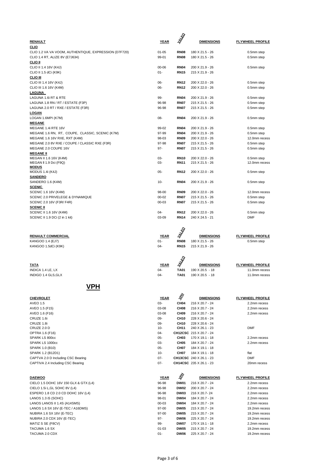| <b>RENAULT</b>                                        | <b>YEAR</b> | 多                                  | <b>DIMENSIONS</b>       | <b>FLYWHEEL PROFILE</b> |
|-------------------------------------------------------|-------------|------------------------------------|-------------------------|-------------------------|
| <u>CLIO</u>                                           |             |                                    |                         |                         |
|                                                       |             |                                    |                         |                         |
| CLIO 1.2 VA VA VOOM, AUTHENTIQUE, EXPRESSION (D7F720) | $01 - 05$   | <b>RN08</b>                        | 180 X 21.5 - 26         | 0.5mm step              |
| CLIO 1.4 RT, ALIZE 8V (E7J634)                        | 99-01       | <b>RN08</b>                        | 180 X 21.5 - 26         | 0.5mm step              |
| <b>CLIO II</b>                                        |             |                                    |                         |                         |
| CLIO II 1.4 16V (K4J)                                 | 00-06       | <b>RN04</b>                        | 200 X 21.9 - 26         | 0.5mm step              |
| CLIO II 1.5 dCi (K9K)                                 | 01-         | <b>RN15</b>                        | 215 X 21.9 - 26         |                         |
| <u>CLIO III</u>                                       |             |                                    |                         |                         |
| CLIO III 1.4 16V (K4J)                                | 06-         | <b>RN12</b>                        | 200 X 22.0 - 26         | 0.5mm step              |
| CLIO III 1.6 16V (K4M)                                | 06-         | <b>RN12</b>                        | 200 X 22.0 - 26         | 0.5mm step              |
| LAGUNA                                                |             |                                    |                         |                         |
| LAGUNA 1.6i RT & RTE                                  | 99-         | <b>RN04</b>                        |                         | 0.5mm step              |
|                                                       |             |                                    | 200 X 21.9 - 26         |                         |
| LAGUNA 1.8 RN / RT / ESTATE (F3P)                     | 96-98       | <b>RN07</b>                        | 215 X 21.5 - 26         | 0.5mm step              |
| LAGUNA 2.0 RT / RXE / ESTATE (F3R)                    | 96-98       | <b>RN07</b>                        | 215 X 21.5 - 26         | 0.5mm step              |
| <b>LOGAN</b>                                          |             |                                    |                         |                         |
| LOGAN 1.6MPI (K7M)                                    | 08-         | <b>RN04</b>                        | 200 X 21.9 - 26         | 0.5mm step              |
| <b>MEGANE</b>                                         |             |                                    |                         |                         |
| MEGANE 1.4i RTE 16V                                   | 99-02       | <b>RN04</b>                        | 200 X 21.9 - 26         | 0.5mm step              |
| MEGANE 1.6 RN, RT, COUPE, CLASSIC, SCENIC (K7M)       | 97-99       | <b>RN04</b>                        | 200 X 21.9 - 26         | 0.5mm step              |
| MEGANE 1.6 16V RXE, RXT (K4M)                         | 98-03       | <b>RN09</b>                        | 200 X 22.0 - 26         | 12.0mm recess           |
| MEGANE 2.0 8V RXE / COUPE / CLASSIC RXE (F3R)         | 97-98       | <b>RN07</b>                        | 215 X 21.5 - 26         | 0.5mm step              |
| MEGANE 2.0 COUPE 16V                                  |             |                                    |                         |                         |
|                                                       | 97-         | <b>RN07</b>                        | 215 X 21.5 - 26         | 0.5mm step              |
| <u>MEGANE II</u>                                      |             |                                    |                         |                         |
| MEGAN II 1.6 16V (K4M)                                | 03-         | <b>RN10</b>                        | 200 X 22.0 - 26         | 0.5mm step              |
| MEGAN II 1.9 Dci (F9Q)                                | 03-         | <b>RN11</b>                        | 215 X 21.5 - 26         | 12.0mm recess           |
| <b>MODUS</b>                                          |             |                                    |                         |                         |
| MODUS 1.4i (K4J)                                      | 05-         | <b>RN12</b>                        | 200 X 22.0 - 26         | 0.5mm step              |
| <b>SANDERO</b>                                        |             |                                    |                         |                         |
| SANDERO 1.6 (K4M)                                     | $10 -$      | <b>RN04</b>                        | 200 X 21.9 - 26         | 0.5mm step              |
| <b>SCENIC</b>                                         |             |                                    |                         |                         |
| SCENIC 1.6 16V (K4M)                                  | 98-00       | <b>RN09</b>                        | 200 X 22.0 - 26         | 12.0mm recess           |
| SCENIC 2.0 PRIVELEGE & DYNAMIQUE                      | $00 - 02$   | <b>RN07</b>                        | 215 X 21.5 - 26         | 0.5mm step              |
| SCENIC 2.0 16V (F3R/ F4R)                             | 00-03       | <b>RN07</b>                        | 215 X 21.5 - 26         | 0.5mm step              |
| <b>SCENIC II</b>                                      |             |                                    |                         |                         |
|                                                       | $04 -$      | <b>RN12</b>                        | 200 X 22.0 - 26         | 0.5mm step              |
| SCENIC II 1.6 16V (K4M)                               |             |                                    |                         |                         |
| SCENIC II 1.9 DCi (2 in 1 kit)                        | 03-09       | <b>RN14</b>                        | 240 X 24.5 - 21         | <b>DMF</b>              |
|                                                       |             |                                    |                         |                         |
|                                                       |             |                                    |                         |                         |
|                                                       |             |                                    |                         |                         |
|                                                       |             |                                    |                         |                         |
| <b>RENAULT COMMERCIAL</b>                             | <b>YEAR</b> | <b>WARD</b>                        | <b>DIMENSIONS</b>       | <b>FLYWHEEL PROFILE</b> |
| KANGOO 1.4 (EJ7)                                      | $01 -$      | <b>RN08</b>                        | 180 X 21.5 - 26         | 0.5mm step              |
| KANGOO 1.5dCi (K9K)                                   | $04 -$      | <b>RN15</b>                        | 215 X 21.9 - 26         |                         |
|                                                       |             |                                    |                         |                         |
|                                                       |             |                                    |                         |                         |
|                                                       |             | ₽                                  |                         |                         |
| <b>TATA</b>                                           | YEAR        | ¥                                  | <b>DIMENSIONS</b>       | <b>FLYWHEEL PROFILE</b> |
| INDICA 1.4 LE, LX                                     | $04 -$      | TA01                               | 190 X 20.5 - 18         | 11.0mm recess           |
| INDIGO 1.4 GLS, GLX                                   | $04 -$      | <b>TA01</b>                        | 190 X 20.5 - 18         | 11.0mm recess           |
|                                                       |             |                                    |                         |                         |
|                                                       |             |                                    |                         |                         |
| <b>VPH</b>                                            |             |                                    |                         |                         |
|                                                       |             |                                    |                         |                         |
| <b>CHEVROLET</b>                                      | <b>YEAR</b> | \$                                 | <b>DIMENSIONS</b>       | <b>FLYWHEEL PROFILE</b> |
| AVEO 1.5                                              | 03-         | CH <sub>04</sub>                   | 216 X 20.7 - 24         | 2.2mm recess            |
| AVEO 1.5 (F15)                                        | 03-08       | CH <sub>08</sub>                   | 216 X 20.7 - 24         | 2.2mm recess            |
| AVEO 1.6 (F16)                                        | 03-08       | CH <sub>09</sub>                   | 216 X 20.7 - 24         | 2.2mm recess            |
| CRUZE 1.6i                                            | 09-         | <b>CH10</b>                        | 228 X 20.6 - 24         |                         |
|                                                       |             |                                    |                         |                         |
| CRUZE 1.8i                                            | 09-         | <b>CH10</b>                        | 228 X 20.6 - 24         |                         |
| CRUZE 2.0 D                                           | 10-         | CH11                               | 240 X 26.1 - 23         | DMF                     |
| OPTRA 1.6 (F16)                                       | 04-         |                                    | CH12CSC 215 X 20.7 - 24 |                         |
| SPARK LS 800cc                                        | 05-         | CH <sub>03</sub>                   | 170 X 19.1 - 18         | 2.2mm recess            |
| SPARK LS 1000cc                                       | 03-         | CH <sub>05</sub>                   | 184 X 20.7 - 24         | 2.2mm recess            |
| SPARK 1.0 (B10)                                       | 05-         | CH <sub>07</sub>                   | 184 X 19.1 - 18         |                         |
| SPARK 1.2 (B12D1)                                     | 10-         | CH <sub>07</sub>                   | 184 X 19.1 - 18         | flat                    |
| CAPTVA 2.0 D Including CSC Bearing                    | 07-         |                                    | CH13CSC 240 X 26.1 - 23 | <b>DMF</b>              |
| CAPTIVA 2.4 Including CSC Bearing                     | $07 -$      |                                    | CH14CSC 235 X 26.1 - 23 | 20mm recess             |
|                                                       |             |                                    |                         |                         |
|                                                       |             |                                    |                         |                         |
| <b>DAEWOO</b>                                         | YEAR        |                                    | <b>DIMENSIONS</b>       | <b>FLYWHEEL PROFILE</b> |
| CIELO 1.5 DOHC 16V 150 GLX & GTX (L4)                 | 96-98       | $\vec{\mathcal{S}}$<br><b>DW01</b> | 216 X 20.7 - 24         | 2.2mm recess            |
|                                                       |             | <b>DW02</b>                        |                         |                         |
| CIELO 1.5i L, GL SOHC 8V (L4)                         | 96-98       |                                    | 200 X 20.7 - 24         | 2.2mm recess            |
| ESPERO 1.8 CD 2.0 CD DOHC 16V (L4)                    | 96-98       | <b>DW03</b>                        | 216 X 20.7-24           | 2.2mm recess            |
| LANOS 1.3 iS (SOHC)                                   | 98-01       | <b>DW04</b>                        | 184 X 20.7 - 24         | 2.2mm recess            |
| LANOS LANOS II 1.4S (A14SMS)                          | 00-03       | <b>DW04</b>                        | 184 X 20.7 - 24         | 2.2mm recess            |
| LANOS 1.6 SX 16V (E-TEC / A16DMS)                     | 97-00       | <b>DW05</b>                        | 215 X 20.7 - 24         | 19.2mm recess           |
| NUBIRA 1.6 SX 16V (E-TEC)                             | 97-00       | <b>DW05</b>                        | 215 X 20.7 - 24         | 19.2mm recess           |
| NUBIRA 2.0 CDX 16V (E-TEC)                            | 97-         | <b>DW06</b>                        | 225 X 20.7 - 24         | 19.2mm recess           |
| MATIZ S SE (F8CV)                                     | 99-         | <b>DW07</b>                        | 170 X 19.1 - 18         | 2.2mm recess            |
| TACUMA 1.6 SX                                         | $01 - 03$   | <b>DW05</b>                        | 215 X 20.7 - 24         | 19.2mm recess           |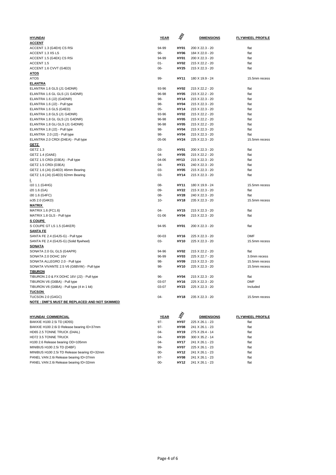| <b>HYUNDAI</b>                                                              | <u>YEAR</u>   | $\vec{\mathcal{S}}$ | <b>DIMENSIONS</b>                  | <b>FLYWHEEL PROFILE</b> |
|-----------------------------------------------------------------------------|---------------|---------------------|------------------------------------|-------------------------|
| <b>ACCENT</b>                                                               |               |                     |                                    |                         |
| ACCENT 1.3 (G4EH) CS RSi                                                    | 94-99         | <b>HY01</b>         | 200 X 22.3 - 20                    | flat                    |
| ACCENT 1.3 XS LS                                                            | 96-           | <b>HY06</b>         | 184 X 22.0 - 20                    | flat                    |
| ACCENT 1.5 (G4EK) CS RSi                                                    | 94-99         | <b>HY01</b>         | 200 X 22.3 - 20                    | flat                    |
| ACCENT 1.5                                                                  | 01-           | <b>HY02</b>         | 215 X 22.2 - 20                    | flat                    |
| ACCENT 1.6 CVVT (G4ED)                                                      | 06-           | HY25                | 215 X 22.3 - 20                    | flat                    |
| <u>ATOS</u>                                                                 |               |                     |                                    |                         |
| <b>ATOS</b>                                                                 | 99-           | HY11                | 180 X 19.9 - 24                    | 15.5mm recess           |
| <b>ELANTRA</b>                                                              |               |                     |                                    |                         |
| ELANTRA 1.6 GLS (J1 G4DNR)                                                  | 93-96         | <b>HY02</b>         | 215 X 22.2 - 20                    | flat                    |
| ELANTRA 1.6 GL GLS (J1 G4DNR)                                               | 96-98         | <b>HY05</b>         | 215 X 22.2 - 20                    | flat                    |
| ELANTRA 1.6 (J2) (G4DNR)                                                    | 98-           | HY14                | 215 X 22.3 - 20                    | flat                    |
| ELANTRA 1.6 (J2) - Pull type                                                | 98-           | HY04                | 215 X 22.3 - 20                    | flat                    |
| ELANTRA 1.6 GLS (G4ED)                                                      | $05 -$        | <b>HY14</b>         | 215 X 22.3 - 20                    | flat                    |
| ELANTRA 1.8 GLS (J1 G4DNR)                                                  | 93-96         | <b>HY02</b>         | 215 X 22.2 - 20                    | flat                    |
| ELANTRA 1.8 GL GLS (J1 G4DNR)                                               | 96-98         | <b>HY05</b>         | 215 X 22.2 - 20                    | flat                    |
| ELANTRA 1.8 GLI GLS (J1 G4DNR)                                              | 96-98         | <b>HY05</b>         | 215 X 22.2 - 20                    | flat                    |
| ELANTRA 1.8 (J2) - Pull type                                                | 98-           | <b>HY04</b>         | 215 X 22.3 - 20                    | flat                    |
| ELANTRA 2.0 (J2) - Pull type                                                | 98-           | <b>HY04</b>         | 215 X 22.3 - 20                    | flat                    |
| ELANTRA 2.0 CRDI (D4EA) - Pull type                                         | 05-06         | <b>HY24</b>         | 225 X 22.3 - 20                    | 15.5mm recess           |
| <u>GETZ</u>                                                                 |               |                     |                                    |                         |
| GETZ 1.3                                                                    | 03-           | <b>HY01</b>         | 200 X 22.3 - 20                    | flat                    |
| GETZ 1.4 (G4AE)                                                             | 04-           | <b>HY05</b>         | 215 X 22.2 - 20                    | flat                    |
| GETZ 1.5 CRDi (D3EA) - Pull type                                            | 04-06         | HY13                | 215 X 22.3 - 20                    | flat                    |
| GETZ 1.5 CRDi (D3EA)                                                        | 04-           | HY21                | 240 X 22.3 - 20                    | flat                    |
| GETZ 1.6 (J4) (G4ED) 46mm Bearing                                           | 03-           | <b>HY05</b>         | 215 X 22.3 - 20                    | flat                    |
| GETZ 1.6 (J4) (G4ED) 62mm Bearing                                           | 03-           | <b>HY14</b>         | 215 X 22.3 - 20                    | flat                    |
| L                                                                           |               |                     |                                    |                         |
| i10 1.1 (G4HG)                                                              | 08-           | HY11                | 180 X 19.9 - 24                    | 15.5mm recess           |
| i20 1.6 (GA)                                                                | 09-           | <b>HY22</b>         | 215 X 22.3 - 20                    | flat                    |
| i30 1.6 (G4FC)                                                              | 08-<br>10-    | HY28<br><b>HY18</b> | 240 X 22.3 - 20                    | flat<br>15.5mm recess   |
| ix35 2.0 (G4KD)<br>MATRIX                                                   |               |                     | 235 X 22.3 - 20                    |                         |
| MATRIX 1.6 (FC1.6)                                                          | 04-           | <b>HY15</b>         | 215 X 22.3 - 20                    | flat                    |
| MATRIX 1.8 GLS - Pull type                                                  | 01-06         | <b>HY04</b>         | 215 X 22.3 - 20                    | flat                    |
| <b>S COUPE</b>                                                              |               |                     |                                    |                         |
| S COUPE GT LS 1.5 (G4KER)                                                   | 94-95         | <b>HY01</b>         | 200 X 22.3 - 20                    | flat                    |
| <b>SANTA FE</b>                                                             |               |                     |                                    |                         |
| SANTA FE 2.4 (G4JS-G) - Pull type                                           | 00-03         | <b>HY16</b>         | 225 X 22.3 - 20                    | <b>DMF</b>              |
| SANTA FE 2.4 (G4JS-G) (Solid flywheel)                                      | 03-           | <b>HY10</b>         | 225 X 22.3 - 20                    | 15.5mm recess           |
| <b>SONATA</b>                                                               |               |                     |                                    |                         |
| SONATA 2.0 GL GLS (G4APR)                                                   | 94-96         | <b>HY02</b>         | 215 X 22.2 - 20                    | flat                    |
| SONATA 2.0 DOHC 16V                                                         | 96-99         | HY03                | 225 X 22.7 - 20                    | 3.0mm recess            |
| SONATA ALLEGRO 2.0 - Pull type                                              | 98-           | HY09                | 215 X 22.3 - 20                    | 15.5mm recess           |
| SONATA VIVANTE 2.5 V6 (G6BVW) - Pull type                                   | 98-           | <b>HY10</b>         | 225 X 22.3 - 20                    | 15.5mm recess           |
| <b>TIBURON</b>                                                              |               |                     |                                    |                         |
| TIBURON 2.0 & FX DOHC 16V (J2) - Pull type                                  | 96-           | HY04                | 215 X 22.3 - 20                    | flat                    |
| TIBURON V6 (G6BA) - Pull type                                               | 03-07         | <b>HY16</b>         | 225 X 22.3 - 20                    | DMF                     |
| TIBURON V6 (G6BA) - Pull type (4 in 1 kit)                                  | 03-07         | HY23                | 225 X 22.3 - 20                    | Included                |
| <b>TUCSON</b>                                                               |               |                     |                                    |                         |
| <b>TUCSON 2.0 (G4GC)</b>                                                    | 04-           | HY18                | 235 X 22.3 - 20                    | 15.5mm recess           |
| NOTE : DMF'S MUST BE REPLACED AND NOT SKIMMED                               |               |                     |                                    |                         |
|                                                                             |               |                     |                                    |                         |
|                                                                             |               | Š                   |                                    |                         |
| <b>HYUNDAI COMMERCIAL</b>                                                   | <b>YEAR</b>   |                     | <b>DIMENSIONS</b>                  | <b>FLYWHEEL PROFILE</b> |
| BAKKIE H100 2.5i TD (4D55)                                                  | $97 -$        | HY07                | 225 X 26.1 - 23                    | flat                    |
| BAKKIE H100 2.6i D Release bearing ID=37mm                                  | $97 -$        | <b>HY08</b>         | 241 X 26.1 - 23                    | flat                    |
| HD65 2.5 TONNE TRUCK (D4AL)                                                 | 04-           | HY19                | 275 X 29.4 - 14                    | flat                    |
| HD72 3.5 TONNE TRUCK                                                        | 04-           | HY20                | 300 X 35.2 - 14                    | flat                    |
| H100 2.6 Release bearing OD=105mm                                           | 04-           | HY17                | 241 X 26.1 - 23                    | flat<br>flat            |
| MINIBUS H100 2.5i TD (D4BF)<br>MINIBUS H100 2.5i TD Release bearing ID=32mm | 99-<br>$00 -$ | <b>HY07</b><br>HY12 | 225 X 26.1 - 23<br>241 X 26.1 - 23 | flat                    |
|                                                                             |               |                     |                                    |                         |

PANEL VAN 2.6i Release bearing ID=37mm 97- **HY08** 241 X 26.1 - 23 flat PANEL VAN 2.6i Release bearing ID=32mm 00- **HY12** 241 X 26.1 - 23 flat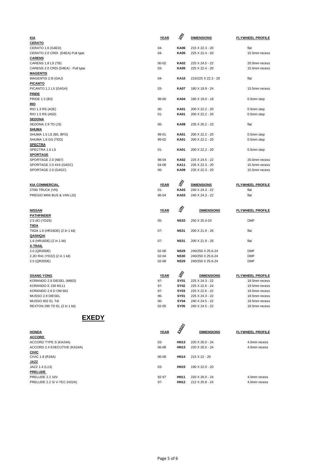| <u>KIA</u>                         | <b>YEAR</b> | $\vec{\mathcal{S}}$ | <b>DIMENSIONS</b>   | <b>FLYWHEEL PROFILE</b> |
|------------------------------------|-------------|---------------------|---------------------|-------------------------|
| <b>CERATO</b>                      |             |                     |                     |                         |
| CERATO 1.6 (G4ED)                  | $04 -$      | <b>KA06</b>         | 215 X 22.3 - 20     | flat                    |
| CERATO 2.0 CRDI (D4EA) Pull type   | $04 -$      | <b>KA05</b>         | 225 X 22.4 - 20     | 15.5mm recess           |
| <b>CARENS</b>                      |             |                     |                     |                         |
| CARENS 1.8 LS (TB)                 | $00 - 02$   | <b>KA02</b>         | 225 X 24.5 - 22     | 20.0mm recess           |
| CARENS 2.0 CRDi (D4EA) - Pull type | $03 -$      | <b>KA05</b>         | 225 X 22.4 - 20     | 15.5mm recess           |
| <b>MAGENTIS</b>                    |             |                     |                     |                         |
|                                    | $04-$       | <b>KA10</b>         | 215/225 X 22.3 - 20 | flat                    |
| MAGENTIS 2.0i (GAJ)                |             |                     |                     |                         |
| <u>PICANTO</u>                     | $03 -$      | <b>KA07</b>         | 180 X 19.9 - 24     |                         |
| PICANTO 1.1 LX (G4GH)              |             |                     |                     | 15.5mm recess           |
| <b>PRIDE</b>                       |             |                     |                     |                         |
| PRIDE 1.3 (B3)                     | 98-00       | <b>KA04</b>         | 180 X 19.0 - 18     | 0.5mm step              |
| <u>RIO</u>                         |             |                     |                     |                         |
| RIO 1.3 RS (A2E)                   | $00 -$      | <b>KA01</b>         | 200 X 22.2 - 20     | 0.5mm step              |
| RIO 1.5 RS (A5D)                   | $01 -$      | <b>KA01</b>         | 200 X 22.2 - 20     | 0.5mm step              |
| <b>SEDONA</b>                      |             |                     |                     |                         |
| SEDONA 2.9 TD (J3)                 | $06 -$      | <b>KA08</b>         | 235 X 26.2 - 23     | flat                    |
| <b>SHUMA</b>                       |             |                     |                     |                         |
| SHUMA 1.5 LS (B5, BFD)             | 99-01       | <b>KA01</b>         | 200 X 22.2 - 20     | 0.5mm step              |
| SHUMA 1.8 GS (TED)                 | 99-02       | <b>KA01</b>         | 200 X 22.2 - 20     | 0.5mm step              |
| <b>SPECTRA</b>                     |             |                     |                     |                         |
| SPECTRA 1.6 LS                     | $01 -$      | <b>KA01</b>         | 200 X 22.2 - 20     | 0.5mm step              |
| <b>SPORTAGE</b>                    |             |                     |                     |                         |
| SPORTAGE 2.0 (NB7)                 | 98-04       | <b>KA02</b>         | 225 X 24.5 - 22     | 20.0mm recess           |
| SPORTAGE 2.0 4X4 (G4GC)            | 04-08       | <b>KA11</b>         | 235 X 22.3 - 20     | 15.5mm recess           |
| SPORTAGE 2.0 (G4GC)                | $06 -$      | <b>KA09</b>         | 235 X 22.3 - 20     | 15.5mm recess           |
|                                    |             |                     |                     |                         |
| <b>KIA COMMERCIAL</b>              | <b>YEAR</b> | Š                   | <b>DIMENSIONS</b>   | <b>FLYWHEEL PROFILE</b> |
| 2700i TRUCK (VN)                   | $01 -$      | KA03                | 240 X 24.3 - 22     | flat                    |
|                                    |             |                     |                     |                         |
| PREGIO MINI BUS & VAN (J2)         | 96-04       | <b>KA03</b>         | 240 X 24.3 - 22     | flat                    |
|                                    |             |                     |                     |                         |
| <b>NISSAN</b>                      | <b>YEAR</b> | Š                   | <b>DIMENSIONS</b>   | <b>FLYWHEEL PROFILE</b> |
| <b>PATHFINDER</b>                  |             |                     |                     |                         |
| 2.5 dCi (YD25)                     | $05 -$      | <b>NS33</b>         | 250 X 25.4-24       | <b>DMF</b>              |
| <u>TIIDA</u>                       |             |                     |                     |                         |
| TIIDA 1.6 (HR16DE) (2 in 1 kit)    | $07 -$      | <b>NS31</b>         | 200 X 21.9 - 26     | flat                    |
| <b>QASHQAI</b>                     |             |                     |                     |                         |
| 1.6 (HR16DE) (2 in 1 kit)          | $07 -$      | <b>NS31</b>         | 200 X 21.9 - 26     | flat                    |
| <b>X-TRAIL</b>                     |             |                     |                     |                         |
| 2.0 (QR20DE)                       | $02 - 08$   | <b>NS29</b>         | 240/250 X 25.6-24   | <b>DMF</b>              |
| 2.2D R41 (YD22) (2 in 1 kit)       | $02 - 04$   | <b>NS30</b>         | 240/250 X 25.6-24   | <b>DMF</b>              |
| 2.5 (QR25DE)                       | $02 - 08$   | <b>NS29</b>         | 240/250 X 25.6-24   | <b>DMF</b>              |
|                                    |             |                     |                     |                         |
|                                    |             |                     |                     |                         |
| <b>SSANG YONG</b>                  | <b>YEAR</b> | $\vec{\mathcal{S}}$ | <b>DIMENSIONS</b>   | <b>FLYWHEEL PROFILE</b> |
| KORANDO 2.9 DIESEL (M602)          | 97-         | <b>SY01</b>         | 225 X 24.3 - 22     | 19.5mm recess           |
| KORANDO E 230 M111                 | $97 -$      | <b>SY02</b>         | 225 X 22.6 - 24     | 19.5mm recess           |
| KORANDO 2.9 D OM 662               | 97-         | <b>SY03</b>         | 225 X 22.6 - 22     | 19.5mm recess           |
| MUSSO 2.9 DIESEL                   | 96-         | <b>SY01</b>         | 225 X 24.3 - 22     | 19.5mm recess           |
| MUSSO 602 EL Tdi                   | $00 -$      | <b>SY04</b>         | 240 X 24.5 - 22     | 19.5mm recess           |
| REXTON 290 TD EL (2 in 1 kit)      | $02 - 05$   | <b>SY05</b>         | 240 X 24.5 - 22     | 19.5mm recess           |

#### **EXEDY**

|                              |             | <b>RADI</b> |                      |                         |
|------------------------------|-------------|-------------|----------------------|-------------------------|
| <b>HONDA</b>                 | <b>YEAR</b> |             | <b>DIMENSIONS</b>    | <b>FLYWHEEL PROFILE</b> |
| <b>ACCORD</b>                |             |             |                      |                         |
| ACCORD TYPE S (KA24A)        | 03-         | <b>HN13</b> | $220 X 26.0 - 24$    | 4.0mm recess            |
| ACCORD 2.4 EXECUTIVE (KA24A) | 06-08       | <b>HN13</b> | 220 X 26.0 - 24      | 4.0mm recess            |
| <b>CIVIC</b>                 |             |             |                      |                         |
| CIVIC 1.8 (R18A)             | 06-08       | <b>HN14</b> | $215 \times 22 - 20$ |                         |
| <b>JAZZ</b>                  |             |             |                      |                         |
| JAZZ 1.4 (L13)               | 03-         | <b>HN15</b> | $190 X 22.0 - 20$    |                         |
| <b>PRELUDE</b>               |             |             |                      |                         |
| PRELUDE 2.2 16V              | 92-97       | <b>HN11</b> | $220 X 26.0 - 24$    | 4.0mm recess            |
| PRELUDE 2.2 Si V-TEC (H22A)  | 97-         | <b>HN12</b> | 212 X 25.8 - 24      | 4.0mm recess            |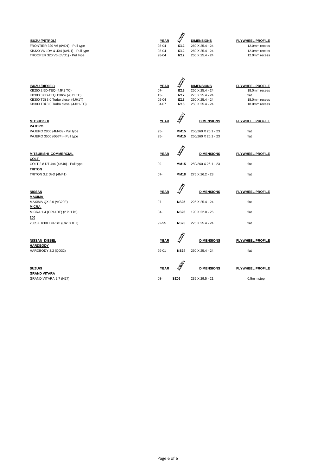|                                       |             | F    |                   |                         |
|---------------------------------------|-------------|------|-------------------|-------------------------|
| <b>ISUZU (PETROL)</b>                 | <b>YEAR</b> |      | <b>DIMENSIONS</b> | <b>FLYWHEEL PROFILE</b> |
| FRONTIER 320 V6 (6VD1) - Pull type    | 98-04       | IZ12 | 260 X 25.4 - 24   | 12.0mm recess           |
| KB320 V6 LDV & 4X4 (6VD1) - Pull type | 98-04       | IZ12 | 260 X 25.4 - 24   | 12.0mm recess           |
| TROOPER 320 V6 (6VD1) - Pull type     | 98-04       | IZ12 | 260 X 25.4 - 24   | 12.0mm recess           |

| <b>ISUZU (DIESEL)</b><br>KB250 2.5D-TEQ (4JK1 TC)<br>KB300 3.0D-TEQ 130kw (4JJ1 TC)<br>KB300 TDi 3.0 Turbo diesel (4JH1T)<br>KB300 TDi 3.0 Turbo diesel (4JH1-TC) | <b>YEAR</b><br>$07 -$<br>$13 -$<br>$02 - 04$<br>04-07 | A.<br>Martin<br>IZ18<br><b>IZ17</b><br>IZ18<br>IZ18 | <b>DIMENSIONS</b><br>250 X 25.4 - 24<br>275 X 25.4 - 24<br>250 X 25.4 - 24<br>250 X 25.4 - 24 | <b>FLYWHEEL PROFILE</b><br>18.0mm recess<br>flat<br>18.0mm recess<br>18.0mm recess |
|-------------------------------------------------------------------------------------------------------------------------------------------------------------------|-------------------------------------------------------|-----------------------------------------------------|-----------------------------------------------------------------------------------------------|------------------------------------------------------------------------------------|
| <b>MITSUBISHI</b><br><b>PAJERO</b><br>PAJERO 2800 (4M40) - Pull type<br>PAJERO 3500 (6G74) - Pull type                                                            | <b>YEAR</b><br>$95 -$<br>$95 -$                       | <b>RADI</b><br><b>MM15</b><br><b>MM15</b>           | <b>DIMENSIONS</b><br>250/260 X 26.1 - 23<br>250/260 X 26.1 - 23                               | <b>FLYWHEEL PROFILE</b><br>flat<br>flat                                            |
| <b>MITSUBISHI COMMERCIAL</b><br><b>COLT</b><br>COLT 2.8 DT 4x4 (4M40) - Pull type<br><b>TRITON</b><br>TRITON 3.2 Di-D (4M41)                                      | <b>YEAR</b><br>99-<br>$07 -$                          | <b>RAD</b><br><b>MM15</b><br><b>MM18</b>            | <b>DIMENSIONS</b><br>250/260 X 26.1 - 23<br>275 X 26.2 - 23                                   | <b>FLYWHEEL PROFILE</b><br>flat<br>flat                                            |
| <b>NISSAN</b><br>MAXIMA<br>MAXIMA QX 2.0 (VG20E)                                                                                                                  | <b>YEAR</b><br>$97 -$                                 | <b>RADI</b><br><b>NS25</b>                          | <b>DIMENSIONS</b><br>225 X 25.4 - 24                                                          | <b>FLYWHEEL PROFILE</b><br>flat                                                    |
| <b>MICRA</b><br>MICRA 1.4 (CR14DE) (2 in 1 kit)<br>200<br>200SX 1800 TURBO (CA18DET)                                                                              | $04 -$<br>92-95                                       | <b>NS26</b><br><b>NS25</b>                          | 190 X 22.0 - 26<br>225 X 25.4 - 24                                                            | flat<br>flat                                                                       |
| <b>NISSAN DIESEL</b><br><b>HARDBODY</b><br>HARDBODY 3.2 (QD32)                                                                                                    | <b>YEAR</b><br>99-01                                  | <b>A</b><br><b>NS24</b>                             | <b>DIMENSIONS</b><br>260 X 25,4 - 24                                                          | <b>FLYWHEEL PROFILE</b><br>flat                                                    |
| <b>SUZUKI</b><br><u>GRAND VITARA</u><br>GRAND VITARA 2.7 (H27)                                                                                                    | <b>YEAR</b><br>03-                                    | <b>RAD</b><br><b>SZ06</b>                           | <b>DIMENSIONS</b><br>235 X 29.5 - 21                                                          | <b>FLYWHEEL PROFILE</b><br>0.5mm step                                              |